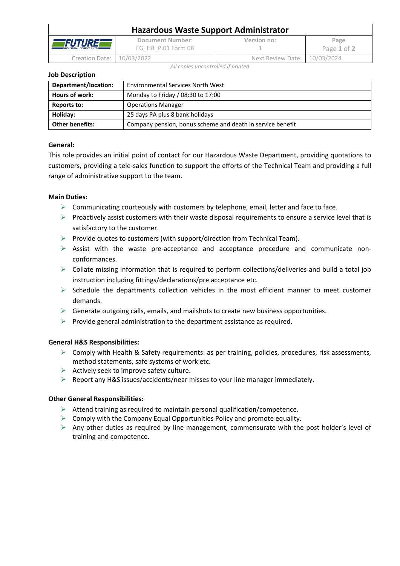| <b>Hazardous Waste Support Administrator</b>      |                                        |                              |                     |  |  |
|---------------------------------------------------|----------------------------------------|------------------------------|---------------------|--|--|
| <i>EFUTUREF</i><br><b>INDUSTRIAL SERVICES LTD</b> | Document Number:<br>FG HR P.01 Form 08 | Version no:                  | Page<br>Page 1 of 2 |  |  |
| Creation Date: 10/03/2022                         |                                        | Next Review Date: 10/03/2024 |                     |  |  |

*All copies uncontrolled if printed*

### **Job Description**

| Department/location:   | <b>Environmental Services North West</b>                   |  |
|------------------------|------------------------------------------------------------|--|
| Hours of work:         | Monday to Friday / 08:30 to 17:00                          |  |
| Reports to:            | <b>Operations Manager</b>                                  |  |
| Holiday:               | 25 days PA plus 8 bank holidays                            |  |
| <b>Other benefits:</b> | Company pension, bonus scheme and death in service benefit |  |

## **General:**

This role provides an initial point of contact for our Hazardous Waste Department, providing quotations to customers, providing a tele-sales function to support the efforts of the Technical Team and providing a full range of administrative support to the team.

## **Main Duties:**

- ➢ Communicating courteously with customers by telephone, email, letter and face to face.
- $\triangleright$  Proactively assist customers with their waste disposal requirements to ensure a service level that is satisfactory to the customer.
- ➢ Provide quotes to customers (with support/direction from Technical Team).
- $\triangleright$  Assist with the waste pre-acceptance and acceptance procedure and communicate nonconformances.
- $\triangleright$  Collate missing information that is required to perform collections/deliveries and build a total job instruction including fittings/declarations/pre acceptance etc.
- $\triangleright$  Schedule the departments collection vehicles in the most efficient manner to meet customer demands.
- $\triangleright$  Generate outgoing calls, emails, and mailshots to create new business opportunities.
- $\triangleright$  Provide general administration to the department assistance as required.

## **General H&S Responsibilities:**

- ➢ Comply with Health & Safety requirements: as per training, policies, procedures, risk assessments, method statements, safe systems of work etc.
- $\triangleright$  Actively seek to improve safety culture.
- ➢ Report any H&S issues/accidents/near misses to your line manager immediately.

### **Other General Responsibilities:**

- $\triangleright$  Attend training as required to maintain personal qualification/competence.
- $\triangleright$  Comply with the Company Equal Opportunities Policy and promote equality.
- $\triangleright$  Any other duties as required by line management, commensurate with the post holder's level of training and competence.